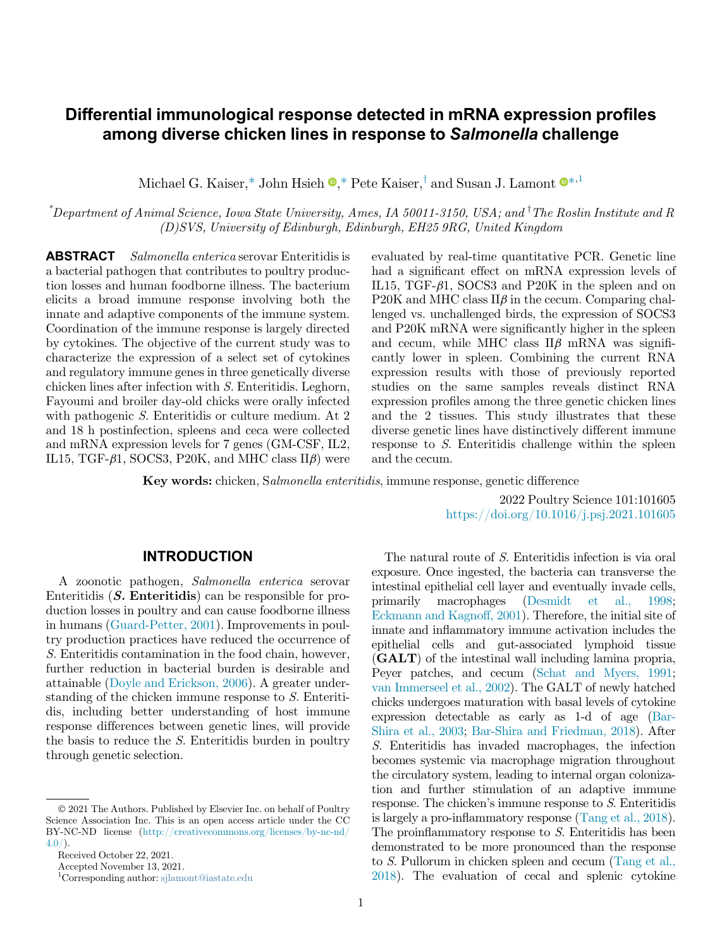# Differential immunological response detected in mRNA expression profiles among diverse chicken lines in response to Salmonella challenge

Michael G. Kaiser[,\\*](#page-0-0) John Hsieh  $\mathbb{D}$ ,[\\*](#page-0-0) Pete Kaiser,<sup>†</sup> and Susan J. Lamont  $\mathbb{D}^{*,1}$  $\mathbb{D}^{*,1}$  $\mathbb{D}^{*,1}$ 

<span id="page-0-0"></span> $^*$ Department of Animal Science, Iowa State University, Ames, IA 50011-3150, USA; and  $^{\dagger}$ The Roslin Institute and R (D)SVS, University of Edinburgh, Edinburgh, EH25 9RG, United Kingdom

ABSTRACT Salmonella enterica serovar Enteritidis is a bacterial pathogen that contributes to poultry production losses and human foodborne illness. The bacterium elicits a broad immune response involving both the innate and adaptive components of the immune system. Coordination of the immune response is largely directed by cytokines. The objective of the current study was to characterize the expression of a select set of cytokines and regulatory immune genes in three genetically diverse chicken lines after infection with S. Enteritidis. Leghorn, Fayoumi and broiler day-old chicks were orally infected with pathogenic S. Enteritidis or culture medium. At 2 and 18 h postinfection, spleens and ceca were collected and mRNA expression levels for 7 genes (GM-CSF, IL2, IL15, TGF- $\beta$ 1, SOCS3, P20K, and MHC class II $\beta$ ) were

evaluated by real-time quantitative PCR. Genetic line had a significant effect on mRNA expression levels of IL15, TGF- $\beta$ 1, SOCS3 and P20K in the spleen and on P20K and MHC class  $\rm II\beta$  in the cecum. Comparing challenged vs. unchallenged birds, the expression of SOCS3 and P20K mRNA were significantly higher in the spleen and cecum, while MHC class  $II\beta$  mRNA was significantly lower in spleen. Combining the current RNA expression results with those of previously reported studies on the same samples reveals distinct RNA expression profiles among the three genetic chicken lines and the 2 tissues. This study illustrates that these diverse genetic lines have distinctively different immune response to S. Enteritidis challenge within the spleen and the cecum.

Key words: chicken, Salmonella enteritidis, immune response, genetic difference

2022 Poultry Science 101:101605 <https://doi.org/10.1016/j.psj.2021.101605>

### INTRODUCTION

A zoonotic pathogen, Salmonella enterica serovar Enteritidis  $(S.$  Enteritidis) can be responsible for production losses in poultry and can cause foodborne illness in humans ([Guard-Petter, 2001](#page-7-0)). Improvements in poultry production practices have reduced the occurrence of S. Enteritidis contamination in the food chain, however, further reduction in bacterial burden is desirable and attainable [\(Doyle and Erickson, 2006\)](#page-7-1). A greater understanding of the chicken immune response to S. Enteritidis, including better understanding of host immune response differences between genetic lines, will provide the basis to reduce the S. Enteritidis burden in poultry through genetic selection.

<span id="page-0-1"></span>Accepted November 13, 2021.

The natural route of S. Enteritidis infection is via oral exposure. Once ingested, the bacteria can transverse the intestinal epithelial cell layer and eventually invade cells, primarily macrophages [\(Desmidt et al., 1998](#page-7-2); [Eckmann and Kagnoff, 2001\)](#page-7-3). Therefore, the initial site of innate and inflammatory immune activation includes the epithelial cells and gut-associated lymphoid tissue (GALT) of the intestinal wall including lamina propria, Peyer patches, and cecum [\(Schat and Myers, 1991](#page-7-4); [van Immerseel et al., 2002\)](#page-8-0). The GALT of newly hatched chicks undergoes maturation with basal levels of cytokine expression detectable as early as 1-d of age [\(Bar-](#page-7-5)[Shira et al., 2003;](#page-7-5) [Bar-Shira and Friedman, 2018\)](#page-7-6). After S. Enteritidis has invaded macrophages, the infection becomes systemic via macrophage migration throughout the circulatory system, leading to internal organ colonization and further stimulation of an adaptive immune response. The chicken's immune response to S. Enteritidis is largely a pro-inflammatory response [\(Tang et al., 2018](#page-7-7)). The proinflammatory response to S. Enteritidis has been demonstrated to be more pronounced than the response to S. Pullorum in chicken spleen and cecum ([Tang et al.,](#page-7-7) [2018](#page-7-7)). The evaluation of cecal and splenic cytokine

2021 The Authors. Published by Elsevier Inc. on behalf of Poultry Science Association Inc. This is an open access article under the CC BY-NC-ND license ([http://creativecommons.org/licenses/by-nc-nd/](http://creativecommons.org/licenses/by-nc-nd/4.0/)  $4.0/$ ).

Received October 22, 2021.

<sup>1</sup> Corresponding author: [sjlamont@iastate.edu](mailto:sjlamont@iastate.edu)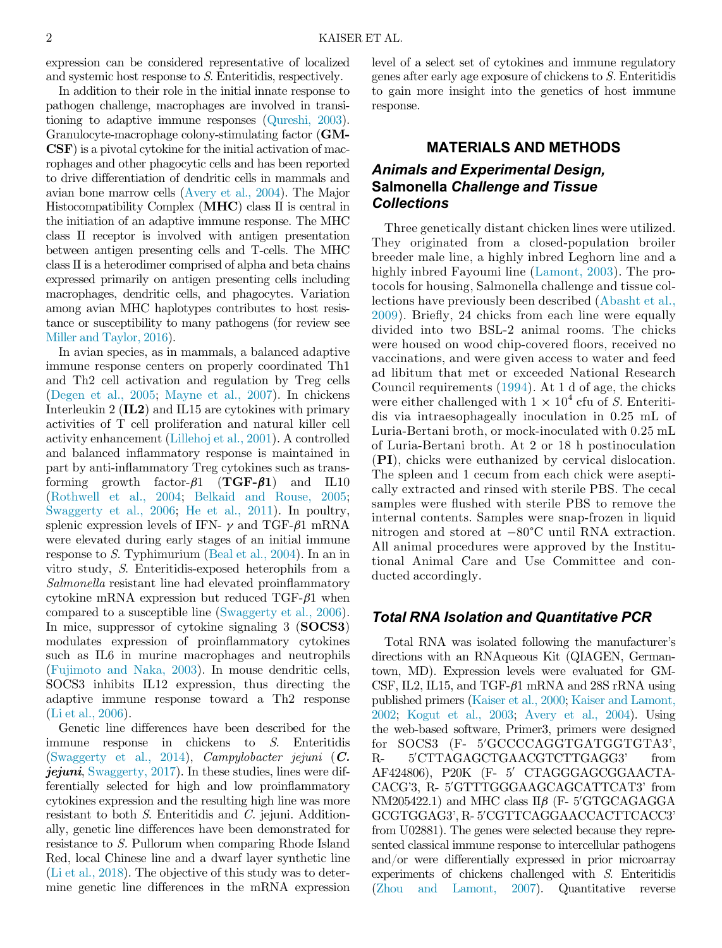expression can be considered representative of localized and systemic host response to S. Enteritidis, respectively.

In addition to their role in the initial innate response to pathogen challenge, macrophages are involved in transitioning to adaptive immune responses [\(Qureshi, 2003](#page-7-8)). Granulocyte-macrophage colony-stimulating factor (GM-CSF) is a pivotal cytokine for the initial activation of macrophages and other phagocytic cells and has been reported to drive differentiation of dendritic cells in mammals and avian bone marrow cells [\(Avery et al., 2004](#page-7-9)). The Major Histocompatibility Complex (MHC) class II is central in the initiation of an adaptive immune response. The MHC class II receptor is involved with antigen presentation between antigen presenting cells and T-cells. The MHC class II is a heterodimer comprised of alpha and beta chains expressed primarily on antigen presenting cells including macrophages, dendritic cells, and phagocytes. Variation among avian MHC haplotypes contributes to host resistance or susceptibility to many pathogens (for review see [Miller and Taylor, 2016\)](#page-7-10).

In avian species, as in mammals, a balanced adaptive immune response centers on properly coordinated Th1 and Th2 cell activation and regulation by Treg cells ([Degen et al., 2005](#page-7-11); [Mayne et al., 2007\)](#page-7-12). In chickens Interleukin 2 (IL2) and IL15 are cytokines with primary activities of T cell proliferation and natural killer cell activity enhancement [\(Lillehoj et al., 2001\)](#page-7-13). A controlled and balanced inflammatory response is maintained in part by anti-inflammatory Treg cytokines such as transforming growth factor- $\beta$ 1 (TGF- $\beta$ 1) and IL10 ([Rothwell et al., 2004;](#page-7-14) [Belkaid and Rouse, 2005](#page-7-15); [Swaggerty et al., 2006;](#page-7-16) [He et al., 2011\)](#page-7-17). In poultry, splenic expression levels of IFN-  $\gamma$  and TGF- $\beta$ 1 mRNA were elevated during early stages of an initial immune response to S. Typhimurium [\(Beal et al., 2004](#page-7-18)). In an in vitro study, S. Enteritidis-exposed heterophils from a Salmonella resistant line had elevated proinflammatory cytokine mRNA expression but reduced  $TGF- $\beta$ 1 when$ compared to a susceptible line ([Swaggerty et al., 2006](#page-7-16)). In mice, suppressor of cytokine signaling 3 (SOCS3) modulates expression of proinflammatory cytokines such as IL6 in murine macrophages and neutrophils ([Fujimoto and Naka, 2003\)](#page-7-19). In mouse dendritic cells, SOCS3 inhibits IL12 expression, thus directing the adaptive immune response toward a Th2 response ([Li et al., 2006](#page-7-20)).

Genetic line differences have been described for the immune response in chickens to S. Enteritidis ([Swaggerty et al., 2014\)](#page-7-21), Campylobacter jejuni (C.  $j$ ejuni, [Swaggerty, 2017](#page-7-22)). In these studies, lines were differentially selected for high and low proinflammatory cytokines expression and the resulting high line was more resistant to both S. Enteritidis and C. jejuni. Additionally, genetic line differences have been demonstrated for resistance to S. Pullorum when comparing Rhode Island Red, local Chinese line and a dwarf layer synthetic line ([Li et al., 2018\)](#page-7-23). The objective of this study was to determine genetic line differences in the mRNA expression

level of a select set of cytokines and immune regulatory genes after early age exposure of chickens to S. Enteritidis to gain more insight into the genetics of host immune response.

# MATERIALS AND METHODS Animals and Experimental Design, Salmonella Challenge and Tissue **Collections**

Three genetically distant chicken lines were utilized. They originated from a closed-population broiler breeder male line, a highly inbred Leghorn line and a highly inbred Fayoumi line ([Lamont, 2003](#page-7-24)). The protocols for housing, Salmonella challenge and tissue collections have previously been described [\(Abasht et al.,](#page-6-0) [2009\)](#page-6-0). Briefly, 24 chicks from each line were equally divided into two BSL-2 animal rooms. The chicks were housed on wood chip-covered floors, received no vaccinations, and were given access to water and feed ad libitum that met or exceeded National Research Council requirements ([1994\)](#page-7-25). At 1 d of age, the chicks were either challenged with  $1 \times 10^4$  cfu of S. Enteritidis via intraesophageally inoculation in 0.25 mL of Luria-Bertani broth, or mock-inoculated with 0.25 mL of Luria-Bertani broth. At 2 or 18 h postinoculation (PI), chicks were euthanized by cervical dislocation. The spleen and 1 cecum from each chick were aseptically extracted and rinsed with sterile PBS. The cecal samples were flushed with sterile PBS to remove the internal contents. Samples were snap-frozen in liquid nitrogen and stored at -80°C until RNA extraction. All animal procedures were approved by the Institutional Animal Care and Use Committee and conducted accordingly.

### Total RNA Isolation and Quantitative PCR

Total RNA was isolated following the manufacturer's directions with an RNAqueous Kit (QIAGEN, Germantown, MD). Expression levels were evaluated for GM-CSF, IL2, IL15, and TGF- $\beta$ 1 mRNA and 28S rRNA using published primers [\(Kaiser et al., 2000;](#page-7-26) [Kaiser and Lamont,](#page-7-27) [2002;](#page-7-27) [Kogut et al., 2003](#page-7-28); [Avery et al., 2004](#page-7-9)). Using the web-based software, Primer3, primers were designed  $for$   $SOCS3$   $(F- 5'GCCCAGGTGATGGTGTA3',$  $R-$ 5'CTTAGAGCTGAACGTCTTGAGG3' from AF424806), P20K (F- 5' CTAGGGAGCGGAACTA-CACG'3, R- 5'GTTTGGGAAGCAGCATTCAT3' from NM205422.1) and MHC class Πβ (F- 5′GTGCAGAGGA<br>GCCTGGAG3' B-5′CGTTCAGGAACCACTTCACC3' GCGTGGAG3', R- 5′CGTTCAGGAACCACTTCACC3' from U02881). The genes were selected because they represented classical immune response to intercellular pathogens and/or were differentially expressed in prior microarray experiments of chickens challenged with S. Enteritidis ([Zhou and Lamont, 2007](#page-8-1)). Quantitative reverse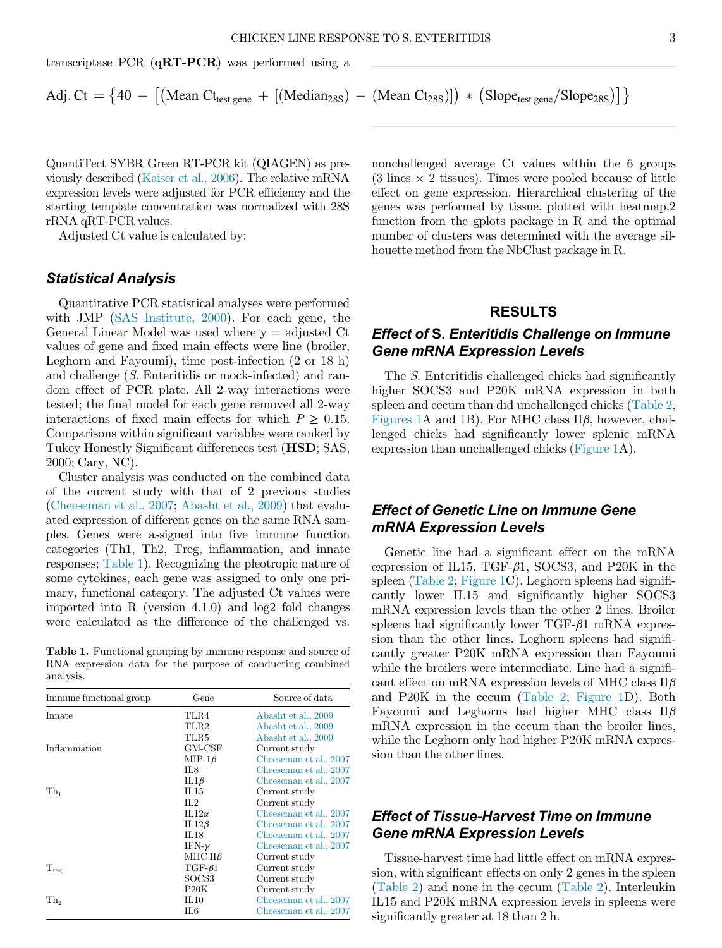transcriptase PCR (qRT-PCR) was performed using a

Adj. Ct = 
$$
\{40 - [(\text{Mean C}t_{\text{test gene}} + [(\text{Median}_{28S}) - (\text{Mean C}t_{28S})]) * (\text{Slope}_{\text{test gene}}/\text{Slope}_{28S})]\}
$$

QuantiTect SYBR Green RT-PCR kit (QIAGEN) as previously described [\(Kaiser et al., 2006\)](#page-7-29). The relative mRNA expression levels were adjusted for PCR efficiency and the starting template concentration was normalized with 28S rRNA qRT-PCR values.

Adjusted Ct value is calculated by:

#### Statistical Analysis

Quantitative PCR statistical analyses were performed with JMP ([SAS Institute, 2000](#page-7-30)). For each gene, the General Linear Model was used where  $y =$  adjusted Ct values of gene and fixed main effects were line (broiler, Leghorn and Fayoumi), time post-infection (2 or 18 h) and challenge (S. Enteritidis or mock-infected) and random effect of PCR plate. All 2-way interactions were tested; the final model for each gene removed all 2-way interactions of fixed main effects for which  $P \geq 0.15$ . Comparisons within significant variables were ranked by Tukey Honestly Significant differences test (HSD; SAS, 2000; Cary, NC).

Cluster analysis was conducted on the combined data of the current study with that of 2 previous studies ([Cheeseman et al., 2007](#page-7-31); [Abasht et al., 2009](#page-6-0)) that evaluated expression of different genes on the same RNA samples. Genes were assigned into five immune function categories (Th1, Th2, Treg, inflammation, and innate responses; [Table 1](#page-2-0)). Recognizing the pleotropic nature of some cytokines, each gene was assigned to only one primary, functional category. The adjusted Ct values were imported into R (version 4.1.0) and log2 fold changes were calculated as the difference of the challenged vs.

<span id="page-2-0"></span>Table 1. Functional grouping by immune response and source of RNA expression data for the purpose of conducting combined analysis.

| Immune functional group | Gene                 | Source of data         |
|-------------------------|----------------------|------------------------|
| Innate                  | TLR4                 | Abasht et al., 2009    |
|                         | TLR2                 | Abasht et al., 2009    |
|                         | TLR5                 | Abasht et al., 2009    |
| Inflammation            | $_{\rm GM-CSF}$      | Current study          |
|                         | $MIP-1\beta$         | Cheeseman et al., 2007 |
|                         | IL8                  | Cheeseman et al., 2007 |
|                         | $IL1\beta$           | Cheeseman et al., 2007 |
| Th <sub>1</sub>         | IL15                 | Current study          |
|                         | $\Pi.2$              | Current study          |
|                         | IL12 $\alpha$        | Cheeseman et al., 2007 |
|                         | $IL12\beta$          | Cheeseman et al., 2007 |
|                         | IL18                 | Cheeseman et al., 2007 |
|                         | IFN- $\nu$           | Cheeseman et al., 2007 |
|                         | MHC $\text{II}\beta$ | Current study          |
| $T_{reg}$               | $TGF-61$             | Current study          |
|                         | SOCS <sub>3</sub>    | Current study          |
|                         | P20K                 | Current study          |
| Th <sub>2</sub>         | IL10                 | Cheeseman et al., 2007 |
|                         | IL6                  | Cheeseman et al., 2007 |

nonchallenged average Ct values within the 6 groups  $(3 \text{ lines} \times 2 \text{ tissues})$ . Times were pooled because of little effect on gene expression. Hierarchical clustering of the genes was performed by tissue, plotted with heatmap.2 function from the gplots package in R and the optimal number of clusters was determined with the average silhouette method from the NbClust package in R.

### RESULTS

### Effect of S. Enteritidis Challenge on Immune Gene mRNA Expression Levels

The S. Enteritidis challenged chicks had significantly higher SOCS3 and P20K mRNA expression in both spleen and cecum than did unchallenged chicks ([Table 2](#page-3-0), [Figures 1A](#page-4-0) and [1B](#page-4-0)). For MHC class  $\rm II\beta$ , however, challenged chicks had significantly lower splenic mRNA expression than unchallenged chicks [\(Figure 1A](#page-4-0)).

## Effect of Genetic Line on Immune Gene mRNA Expression Levels

Genetic line had a significant effect on the mRNA expression of IL15, TGF- $\beta$ 1, SOCS3, and P20K in the spleen [\(Table 2;](#page-3-0) [Figure 1C](#page-4-0)). Leghorn spleens had significantly lower IL15 and significantly higher SOCS3 mRNA expression levels than the other 2 lines. Broiler spleens had significantly lower  $TGF- $\beta$ 1 mRNA express$ sion than the other lines. Leghorn spleens had significantly greater P20K mRNA expression than Fayoumi while the broilers were intermediate. Line had a significant effect on mRNA expression levels of MHC class  $\rm II\beta$ and P20K in the cecum [\(Table 2](#page-3-0); [Figure 1](#page-4-0)D). Both Fayoumi and Leghorns had higher MHC class  $II\beta$ mRNA expression in the cecum than the broiler lines, while the Leghorn only had higher P20K mRNA expression than the other lines.

### Effect of Tissue-Harvest Time on Immune Gene mRNA Expression Levels

Tissue-harvest time had little effect on mRNA expression, with significant effects on only 2 genes in the spleen ([Table 2\)](#page-3-0) and none in the cecum ([Table 2](#page-3-0)). Interleukin IL15 and P20K mRNA expression levels in spleens were significantly greater at 18 than 2 h.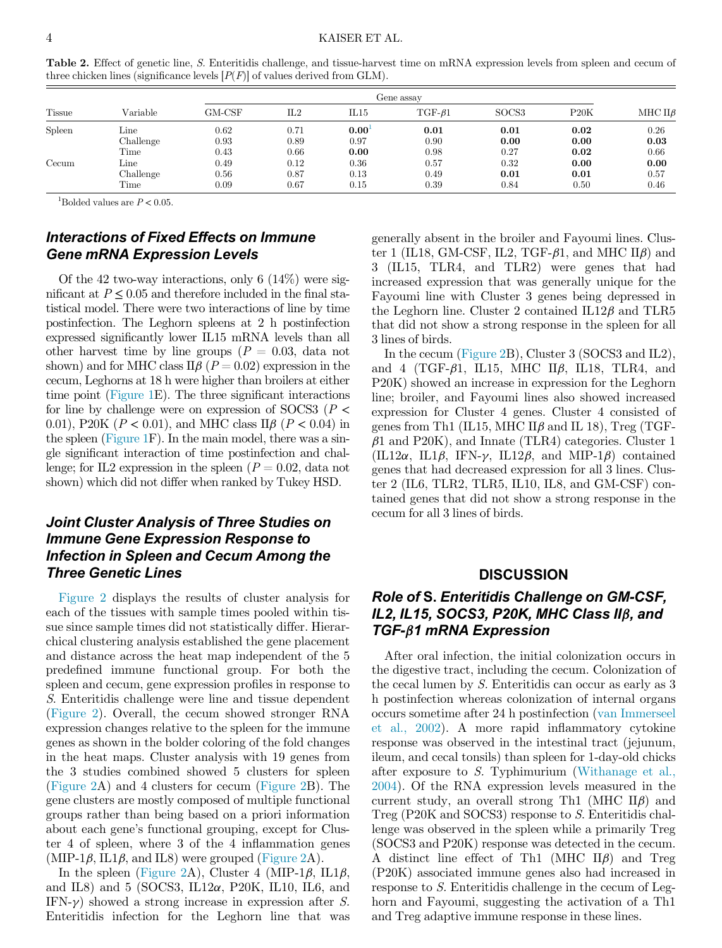| Tissue |                           |                      | Gene assay           |                        |                      |                      |                      |                      |
|--------|---------------------------|----------------------|----------------------|------------------------|----------------------|----------------------|----------------------|----------------------|
|        | Variable                  | GM-CSF               | IL2                  | IL15                   | $TGF-61$             | SOCS <sub>3</sub>    | P20K                 | MHC $II\beta$        |
| Spleen | Line<br>Challenge         | 0.62<br>0.93         | 0.71<br>0.89         | $0.00^{\circ}$<br>0.97 | 0.01<br>0.90         | 0.01<br>0.00         | 0.02<br>0.00         | 0.26<br>0.03         |
|        | Time                      | 0.43                 | 0.66                 | 0.00                   | 0.98                 | 0.27                 | 0.02                 | 0.66                 |
| Cecum  | Line<br>Challenge<br>Time | 0.49<br>0.56<br>0.09 | 0.12<br>0.87<br>0.67 | 0.36<br>0.13<br>0.15   | 0.57<br>0.49<br>0.39 | 0.32<br>0.01<br>0.84 | 0.00<br>0.01<br>0.50 | 0.00<br>0.57<br>0.46 |

<span id="page-3-0"></span>Table 2. Effect of genetic line, S. Enteritidis challenge, and tissue-harvest time on mRNA expression levels from spleen and cecum of three chicken lines (significance levels  $[P(F)]$  of values derived from GLM).

<sup>1</sup>Bolded values are  $P < 0.05$ .

# <span id="page-3-1"></span>Interactions of Fixed Effects on Immune Gene mRNA Expression Levels

Of the 42 two-way interactions, only 6  $(14\%)$  were significant at  $P \leq 0.05$  and therefore included in the final statistical model. There were two interactions of line by time postinfection. The Leghorn spleens at 2 h postinfection expressed significantly lower IL15 mRNA levels than all other harvest time by line groups  $(P = 0.03, \text{ data not})$ shown) and for MHC class  $\Pi \beta$  ( $P = 0.02$ ) expression in the cecum, Leghorns at 18 h were higher than broilers at either time point ([Figure 1](#page-4-0)E). The three significant interactions for line by challenge were on expression of SOCS3 ( $P$  < 0.01), P20K ( $P < 0.01$ ), and MHC class II $\beta$  ( $P < 0.04$ ) in the spleen [\(Figure 1F](#page-4-0)). In the main model, there was a single significant interaction of time postinfection and challenge; for IL2 expression in the spleen  $(P = 0.02, \text{ data not})$ shown) which did not differ when ranked by Tukey HSD.

## Joint Cluster Analysis of Three Studies on Immune Gene Expression Response to Infection in Spleen and Cecum Among the Three Genetic Lines

[Figure 2](#page-5-0) displays the results of cluster analysis for each of the tissues with sample times pooled within tissue since sample times did not statistically differ. Hierarchical clustering analysis established the gene placement and distance across the heat map independent of the 5 predefined immune functional group. For both the spleen and cecum, gene expression profiles in response to S. Enteritidis challenge were line and tissue dependent ([Figure 2](#page-5-0)). Overall, the cecum showed stronger RNA expression changes relative to the spleen for the immune genes as shown in the bolder coloring of the fold changes in the heat maps. Cluster analysis with 19 genes from the 3 studies combined showed 5 clusters for spleen ([Figure 2](#page-5-0)A) and 4 clusters for cecum ([Figure 2](#page-5-0)B). The gene clusters are mostly composed of multiple functional groups rather than being based on a priori information about each gene's functional grouping, except for Cluster 4 of spleen, where 3 of the 4 inflammation genes (MIP-1 $\beta$ , IL1 $\beta$ , and IL8) were grouped [\(Figure 2](#page-5-0)A).

In the spleen ([Figure 2](#page-5-0)A), Cluster 4 (MIP-1 $\beta$ , IL1 $\beta$ , and IL8) and 5 (SOCS3, IL12 $\alpha$ , P20K, IL10, IL6, and IFN- $\gamma$ ) showed a strong increase in expression after S. Enteritidis infection for the Leghorn line that was generally absent in the broiler and Fayoumi lines. Cluster 1 (IL18, GM-CSF, IL2, TGF- $\beta$ 1, and MHC II $\beta$ ) and 3 (IL15, TLR4, and TLR2) were genes that had increased expression that was generally unique for the Fayoumi line with Cluster 3 genes being depressed in the Leghorn line. Cluster 2 contained  $IL12\beta$  and  $TLR5$ that did not show a strong response in the spleen for all 3 lines of birds.

In the cecum ([Figure 2B](#page-5-0)), Cluster 3 (SOCS3 and IL2), and 4 (TGF- $\beta$ 1, IL15, MHC II $\beta$ , IL18, TLR4, and P20K) showed an increase in expression for the Leghorn line; broiler, and Fayoumi lines also showed increased expression for Cluster 4 genes. Cluster 4 consisted of genes from Th1 (IL15, MHC II $\beta$  and IL 18), Treg (TGF- $\beta$ 1 and P20K), and Innate (TLR4) categories. Cluster 1  $(IL12\alpha, IL1\beta, IFN-\gamma, IL12\beta, and MIP-1\beta)$  contained genes that had decreased expression for all 3 lines. Cluster 2 (IL6, TLR2, TLR5, IL10, IL8, and GM-CSF) contained genes that did not show a strong response in the cecum for all 3 lines of birds.

### **DISCUSSION**

# Role of S. Enteritidis Challenge on GM-CSF, IL2, IL15, SOCS3, P20K, MHC Class II $\beta$ , and TGF-β1 mRNA Expression

After oral infection, the initial colonization occurs in the digestive tract, including the cecum. Colonization of the cecal lumen by S. Enteritidis can occur as early as 3 h postinfection whereas colonization of internal organs occurs sometime after 24 h postinfection [\(van Immerseel](#page-8-0) [et al., 2002\)](#page-8-0). A more rapid inflammatory cytokine response was observed in the intestinal tract (jejunum, ileum, and cecal tonsils) than spleen for 1-day-old chicks after exposure to S. Typhimurium ([Withanage et al.,](#page-8-2) [2004\)](#page-8-2). Of the RNA expression levels measured in the current study, an overall strong Th1 (MHC  $\text{II}\beta$ ) and Treg (P20K and SOCS3) response to S. Enteritidis challenge was observed in the spleen while a primarily Treg (SOCS3 and P20K) response was detected in the cecum. A distinct line effect of Th1 (MHC II $\beta$ ) and Treg (P20K) associated immune genes also had increased in response to S. Enteritidis challenge in the cecum of Leghorn and Fayoumi, suggesting the activation of a Th1 and Treg adaptive immune response in these lines.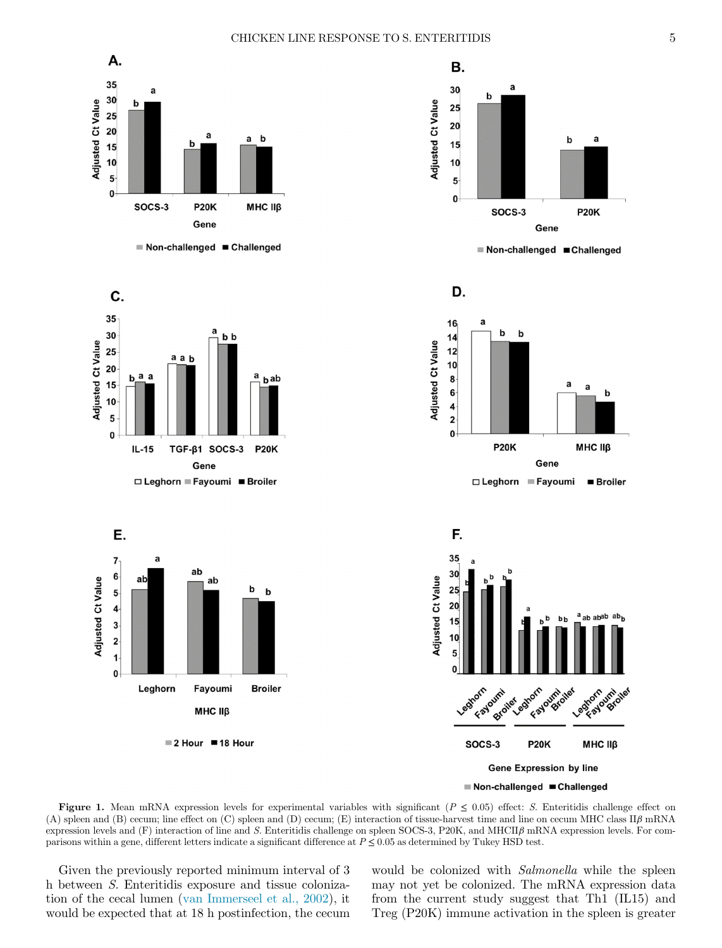<span id="page-4-0"></span>



a a

Gene

h

МНС ІІВ

 $\blacksquare$  Broiler



■2 Hour ■18 Hour

**Gene Expression by line** 

**P20K** 

umi oiles Formount

Leghornoi

MHC II<sub>B</sub>

umi oilet Mornardi



Figure 1. Mean mRNA expression levels for experimental variables with significant ( $P \le 0.05$ ) effect: S. Enteritidis challenge effect on (A) spleen and (B) cecum; line effect on (C) spleen and (D) cecum; (E) interaction of tissue-harvest time and line on cecum MHC class  $\rm II\beta$  mRNA expression levels and  $(F)$  interaction of line and S. Enteritidis challenge on spleen SOCS-3, P20K, and MHCII $\beta$  mRNA expression levels. For comparisons within a gene, different letters indicate a significant difference at  $P \le 0.05$  as determined by Tukey HSD test.

Given the previously reported minimum interval of 3 h between S. Enteritidis exposure and tissue colonization of the cecal lumen ([van Immerseel et al., 2002](#page-8-0)), it would be expected that at 18 h postinfection, the cecum would be colonized with *Salmonella* while the spleen may not yet be colonized. The mRNA expression data from the current study suggest that Th1 (IL15) and Treg (P20K) immune activation in the spleen is greater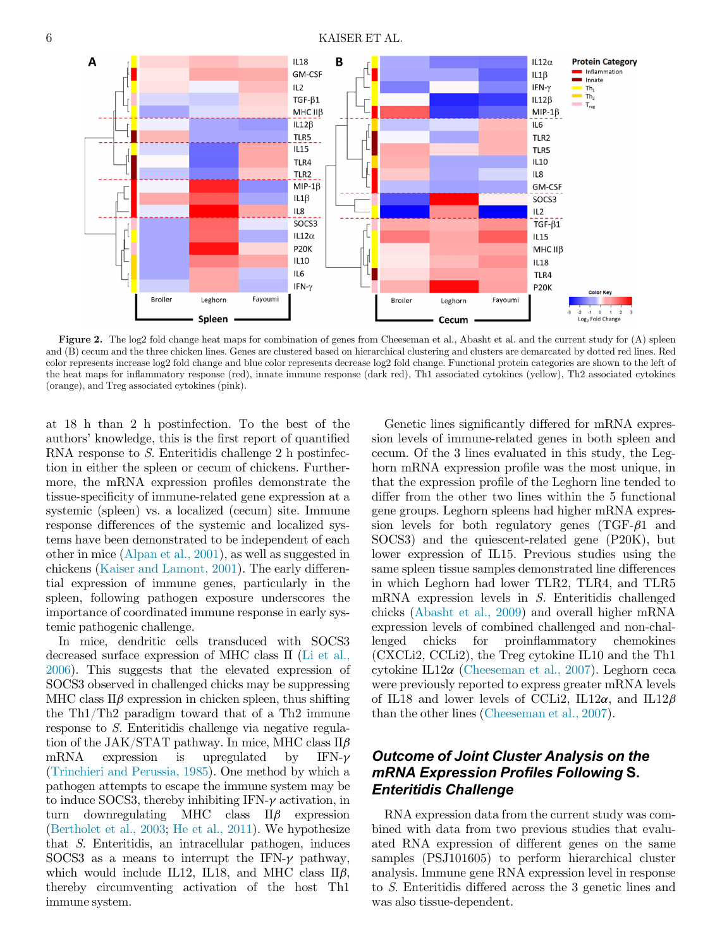Figure 2. The log2 fold change heat maps for combination of genes from Cheeseman et al., Abasht et al. and the current study for (A) spleen and (B) cecum and the three chicken lines. Genes are clustered based on hierarchical clustering and clusters are demarcated by dotted red lines. Red color represents increase log2 fold change and blue color represents decrease log2 fold change. Functional protein categories are shown to the left of the heat maps for inflammatory response (red), innate immune response (dark red), Th1 associated cytokines (yellow), Th2 associated cytokines (orange), and Treg associated cytokines (pink).

at 18 h than 2 h postinfection. To the best of the authors' knowledge, this is the first report of quantified RNA response to S. Enteritidis challenge 2 h postinfection in either the spleen or cecum of chickens. Furthermore, the mRNA expression profiles demonstrate the tissue-specificity of immune-related gene expression at a systemic (spleen) vs. a localized (cecum) site. Immune response differences of the systemic and localized systems have been demonstrated to be independent of each other in mice ([Alpan et al., 2001\)](#page-7-32), as well as suggested in chickens [\(Kaiser and Lamont, 2001\)](#page-7-33). The early differential expression of immune genes, particularly in the spleen, following pathogen exposure underscores the importance of coordinated immune response in early systemic pathogenic challenge.

In mice, dendritic cells transduced with SOCS3 decreased surface expression of MHC class II ([Li et al.,](#page-7-20) [2006](#page-7-20)). This suggests that the elevated expression of SOCS3 observed in challenged chicks may be suppressing MHC class  $\text{II}\beta$  expression in chicken spleen, thus shifting the Th1/Th2 paradigm toward that of a Th2 immune response to S. Enteritidis challenge via negative regulation of the JAK/STAT pathway. In mice, MHC class  $\Pi \beta$ <br>mRNA expression is upregulated by IFN- $\gamma$ mRNA expression is upregulated by IFN- $\gamma$  ([Trinchieri and Perussia, 1985\)](#page-8-3). One method by which a pathogen attempts to escape the immune system may be to induce SOCS3, thereby inhibiting IFN- $\gamma$  activation, in turn downregulating MHC class II $\beta$  expression  $downregulating$  MHC class  $II\beta$  expression ([Bertholet et al., 2003](#page-7-34); [He et al., 2011](#page-7-17)). We hypothesize that S. Enteritidis, an intracellular pathogen, induces SOCS3 as a means to interrupt the IFN- $\gamma$  pathway, which would include IL12, IL18, and MHC class  $\text{II}\beta$ , thereby circumventing activation of the host Th1 immune system.

Genetic lines significantly differed for mRNA expression levels of immune-related genes in both spleen and cecum. Of the 3 lines evaluated in this study, the Leghorn mRNA expression profile was the most unique, in that the expression profile of the Leghorn line tended to differ from the other two lines within the 5 functional gene groups. Leghorn spleens had higher mRNA expression levels for both regulatory genes  $(TGF- $\beta$ 1 and$ SOCS3) and the quiescent-related gene (P20K), but lower expression of IL15. Previous studies using the same spleen tissue samples demonstrated line differences in which Leghorn had lower TLR2, TLR4, and TLR5 mRNA expression levels in S. Enteritidis challenged chicks [\(Abasht et al., 2009](#page-6-0)) and overall higher mRNA expression levels of combined challenged and non-challenged chicks for proinflammatory chemokines (CXCLi2, CCLi2), the Treg cytokine IL10 and the Th1 cytokine IL12 $\alpha$  ([Cheeseman et al., 2007\)](#page-7-31). Leghorn ceca were previously reported to express greater mRNA levels of IL18 and lower levels of CCLi2, IL12 $\alpha$ , and IL12 $\beta$ than the other lines ([Cheeseman et al., 2007](#page-7-31)).

## Outcome of Joint Cluster Analysis on the mRNA Expression Profiles Following S. Enteritidis Challenge

RNA expression data from the current study was combined with data from two previous studies that evaluated RNA expression of different genes on the same samples (PSJ101605) to perform hierarchical cluster analysis. Immune gene RNA expression level in response to S. Enteritidis differed across the 3 genetic lines and was also tissue-dependent.

<span id="page-5-0"></span>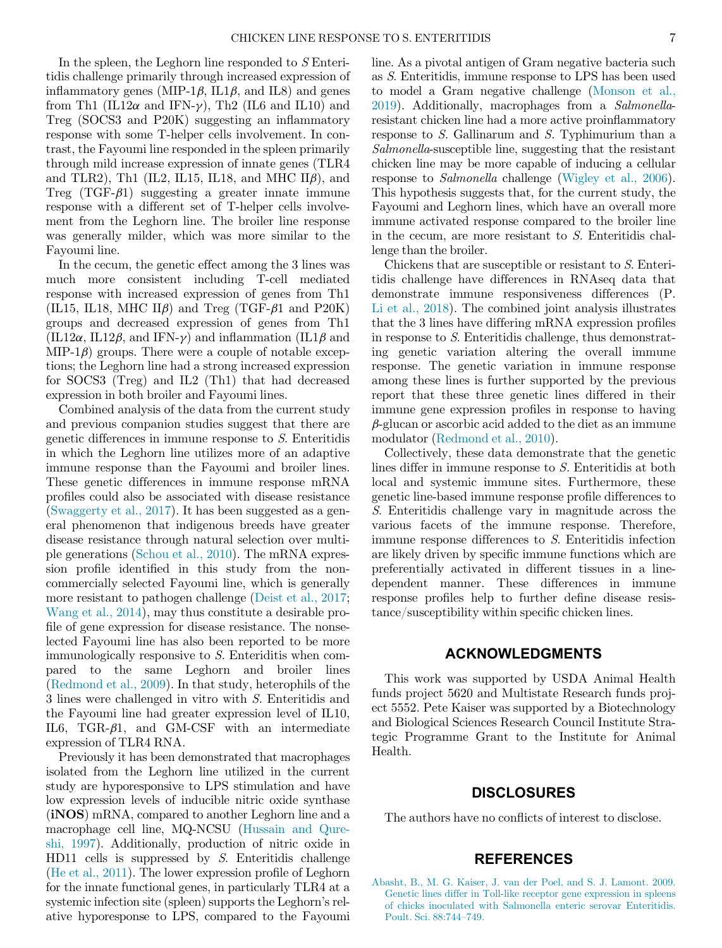In the spleen, the Leghorn line responded to S Enteritidis challenge primarily through increased expression of inflammatory genes (MIP-1 $\beta$ , IL1 $\beta$ , and IL8) and genes from Th1 (IL12 $\alpha$  and IFN- $\gamma$ ), Th2 (IL6 and IL10) and Treg (SOCS3 and P20K) suggesting an inflammatory response with some T-helper cells involvement. In contrast, the Fayoumi line responded in the spleen primarily through mild increase expression of innate genes (TLR4 and TLR2), Th1 (IL2, IL15, IL18, and MHC  $\text{I}\text{I}\beta$ ), and Treg  $(TGF- $\beta$ 1) suggesting a greater innate immune$ response with a different set of T-helper cells involvement from the Leghorn line. The broiler line response was generally milder, which was more similar to the Fayoumi line.

In the cecum, the genetic effect among the 3 lines was much more consistent including T-cell mediated response with increased expression of genes from Th1 (IL15, IL18, MHC II $\beta$ ) and Treg (TGF- $\beta$ 1 and P20K) groups and decreased expression of genes from Th1  $(IL12\alpha, IL12\beta, \text{ and IFN-}\gamma)$  and inflammation  $(IL1\beta \text{ and } I\beta)$  $MIP-1\beta$ ) groups. There were a couple of notable exceptions; the Leghorn line had a strong increased expression for SOCS3 (Treg) and IL2 (Th1) that had decreased expression in both broiler and Fayoumi lines.

Combined analysis of the data from the current study and previous companion studies suggest that there are genetic differences in immune response to S. Enteritidis in which the Leghorn line utilizes more of an adaptive immune response than the Fayoumi and broiler lines. These genetic differences in immune response mRNA profiles could also be associated with disease resistance ([Swaggerty et al., 2017](#page-7-22)). It has been suggested as a general phenomenon that indigenous breeds have greater disease resistance through natural selection over multiple generations [\(Schou et al., 2010\)](#page-7-35). The mRNA expression profile identified in this study from the noncommercially selected Fayoumi line, which is generally more resistant to pathogen challenge [\(Deist et al., 2017](#page-7-36); [Wang et al., 2014](#page-8-4)), may thus constitute a desirable profile of gene expression for disease resistance. The nonselected Fayoumi line has also been reported to be more immunologically responsive to S. Enteriditis when compared to the same Leghorn and broiler lines ([Redmond et al., 2009\)](#page-7-37). In that study, heterophils of the 3 lines were challenged in vitro with S. Enteritidis and the Fayoumi line had greater expression level of IL10, IL6, TGR- $\beta$ 1, and GM-CSF with an intermediate expression of TLR4 RNA.

<span id="page-6-0"></span>Previously it has been demonstrated that macrophages isolated from the Leghorn line utilized in the current study are hyporesponsive to LPS stimulation and have low expression levels of inducible nitric oxide synthase (iNOS) mRNA, compared to another Leghorn line and a macrophage cell line, MQ-NCSU [\(Hussain and Qure](#page-7-38)[shi, 1997](#page-7-38)). Additionally, production of nitric oxide in HD11 cells is suppressed by S. Enteritidis challenge ([He et al., 2011](#page-7-17)). The lower expression profile of Leghorn for the innate functional genes, in particularly TLR4 at a systemic infection site (spleen) supports the Leghorn's relative hyporesponse to LPS, compared to the Fayoumi

line. As a pivotal antigen of Gram negative bacteria such as S. Enteritidis, immune response to LPS has been used to model a Gram negative challenge [\(Monson et al.,](#page-7-39) [2019](#page-7-39)). Additionally, macrophages from a Salmonellaresistant chicken line had a more active proinflammatory response to S. Gallinarum and S. Typhimurium than a Salmonella-susceptible line, suggesting that the resistant chicken line may be more capable of inducing a cellular response to Salmonella challenge [\(Wigley et al., 2006](#page-8-5)). This hypothesis suggests that, for the current study, the Fayoumi and Leghorn lines, which have an overall more immune activated response compared to the broiler line in the cecum, are more resistant to S. Enteritidis challenge than the broiler.

Chickens that are susceptible or resistant to S. Enteritidis challenge have differences in RNAseq data that demonstrate immune responsiveness differences (P. [Li et al., 2018\)](#page-7-40). The combined joint analysis illustrates that the 3 lines have differing mRNA expression profiles in response to S. Enteritidis challenge, thus demonstrating genetic variation altering the overall immune response. The genetic variation in immune response among these lines is further supported by the previous report that these three genetic lines differed in their immune gene expression profiles in response to having  $\beta$ -glucan or ascorbic acid added to the diet as an immune modulator [\(Redmond et al., 2010](#page-7-41)).

Collectively, these data demonstrate that the genetic lines differ in immune response to S. Enteritidis at both local and systemic immune sites. Furthermore, these genetic line-based immune response profile differences to S. Enteritidis challenge vary in magnitude across the various facets of the immune response. Therefore, immune response differences to S. Enteritidis infection are likely driven by specific immune functions which are preferentially activated in different tissues in a linedependent manner. These differences in immune response profiles help to further define disease resistance/susceptibility within specific chicken lines.

#### ACKNOWLEDGMENTS

This work was supported by USDA Animal Health funds project 5620 and Multistate Research funds project 5552. Pete Kaiser was supported by a Biotechnology and Biological Sciences Research Council Institute Strategic Programme Grant to the Institute for Animal Health.

### DISCLOSURES

The authors have no conflicts of interest to disclose.

### REFERENCES

[Abasht, B., M. G. Kaiser, J. van der Poel, and S. J. Lamont. 2009.](http://refhub.elsevier.com/S0032-5791(21)00626-X/sbref0001) [Genetic lines differ in Toll-like receptor gene expression in spleens](http://refhub.elsevier.com/S0032-5791(21)00626-X/sbref0001) [of chicks inoculated with Salmonella enteric serovar Enteritidis.](http://refhub.elsevier.com/S0032-5791(21)00626-X/sbref0001) [Poult. Sci. 88:744](http://refhub.elsevier.com/S0032-5791(21)00626-X/sbref0001)–749.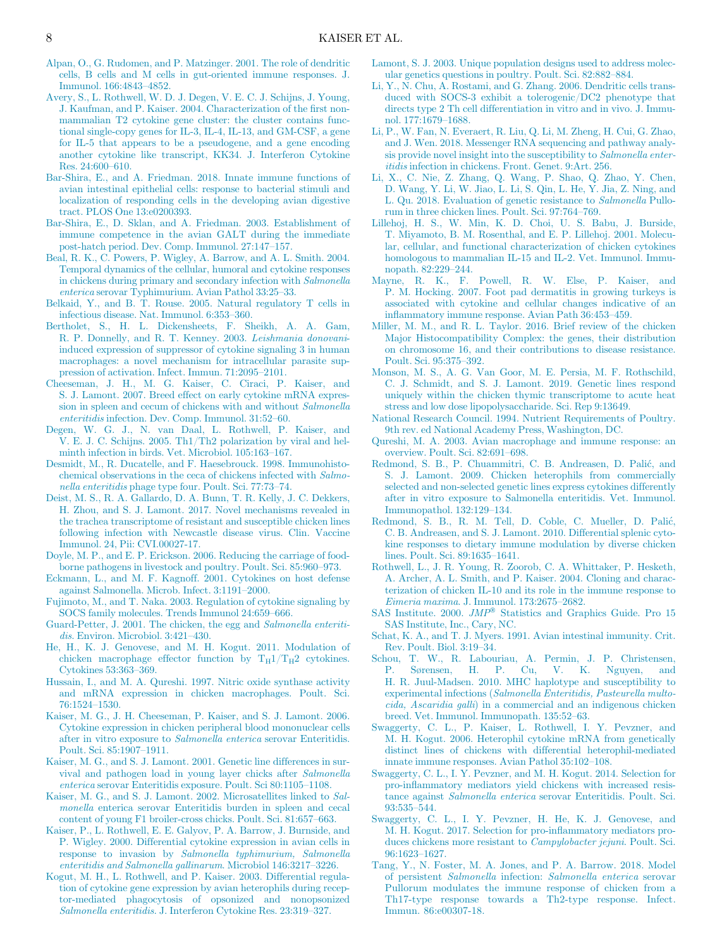- <span id="page-7-32"></span><span id="page-7-24"></span>[Alpan, O., G. Rudomen, and P. Matzinger. 2001. The role of dendritic](http://refhub.elsevier.com/S0032-5791(21)00626-X/sbref0002) [cells, B cells and M cells in gut-oriented immune responses. J.](http://refhub.elsevier.com/S0032-5791(21)00626-X/sbref0002) [Immunol. 166:4843](http://refhub.elsevier.com/S0032-5791(21)00626-X/sbref0002)–4852.
- <span id="page-7-40"></span><span id="page-7-20"></span><span id="page-7-9"></span>[Avery, S., L. Rothwell, W. D. J. Degen, V. E. C. J. Schijns, J. Young,](http://refhub.elsevier.com/S0032-5791(21)00626-X/sbref0003) [J. Kaufman, and P. Kaiser. 2004. Characterization of the](http://refhub.elsevier.com/S0032-5791(21)00626-X/sbref0003) first non[mammalian T2 cytokine gene cluster: the cluster contains func](http://refhub.elsevier.com/S0032-5791(21)00626-X/sbref0003)[tional single-copy genes for IL-3, IL-4, IL-13, and GM-CSF, a gene](http://refhub.elsevier.com/S0032-5791(21)00626-X/sbref0003) [for IL-5 that appears to be a pseudogene, and a gene encoding](http://refhub.elsevier.com/S0032-5791(21)00626-X/sbref0003) [another cytokine like transcript, KK34. J. Interferon Cytokine](http://refhub.elsevier.com/S0032-5791(21)00626-X/sbref0003) [Res. 24:600](http://refhub.elsevier.com/S0032-5791(21)00626-X/sbref0003)–610.
- <span id="page-7-23"></span><span id="page-7-6"></span>[Bar-Shira, E., and A. Friedman. 2018. Innate immune functions of](http://refhub.elsevier.com/S0032-5791(21)00626-X/sbref0004) [avian intestinal epithelial cells: response to bacterial stimuli and](http://refhub.elsevier.com/S0032-5791(21)00626-X/sbref0004) [localization of responding cells in the developing avian digestive](http://refhub.elsevier.com/S0032-5791(21)00626-X/sbref0004) [tract. PLOS One 13:e0200393.](http://refhub.elsevier.com/S0032-5791(21)00626-X/sbref0004)
- <span id="page-7-13"></span><span id="page-7-5"></span>[Bar-Shira, E., D. Sklan, and A. Friedman. 2003. Establishment of](http://refhub.elsevier.com/S0032-5791(21)00626-X/sbref0005) [immune competence in the avian GALT during the immediate](http://refhub.elsevier.com/S0032-5791(21)00626-X/sbref0005) [post-hatch period. Dev. Comp. Immunol. 27:147](http://refhub.elsevier.com/S0032-5791(21)00626-X/sbref0005)–157.
- <span id="page-7-18"></span><span id="page-7-12"></span>[Beal, R. K., C. Powers, P. Wigley, A. Barrow, and A. L. Smith. 2004.](http://refhub.elsevier.com/S0032-5791(21)00626-X/sbref0006) [Temporal dynamics of the cellular, humoral and cytokine responses](http://refhub.elsevier.com/S0032-5791(21)00626-X/sbref0006) [in chickens during primary and secondary infection with](http://refhub.elsevier.com/S0032-5791(21)00626-X/sbref0006) Salmonella enterica [serovar Typhimurium. Avian Pathol 33:25](http://refhub.elsevier.com/S0032-5791(21)00626-X/sbref0006)–33.
- <span id="page-7-15"></span>[Belkaid, Y., and B. T. Rouse. 2005. Natural regulatory T cells in](http://refhub.elsevier.com/S0032-5791(21)00626-X/sbref0007) [infectious disease. Nat. Immunol. 6:353](http://refhub.elsevier.com/S0032-5791(21)00626-X/sbref0007)–360.
- <span id="page-7-34"></span><span id="page-7-10"></span>[Bertholet, S., H. L. Dickensheets, F. Sheikh, A. A. Gam,](http://refhub.elsevier.com/S0032-5791(21)00626-X/sbref0008) [R. P. Donnelly, and R. T. Kenney. 2003.](http://refhub.elsevier.com/S0032-5791(21)00626-X/sbref0008) Leishmania donovani[induced expression of suppressor of cytokine signaling 3 in human](http://refhub.elsevier.com/S0032-5791(21)00626-X/sbref0008) [macrophages: a novel mechanism for intracellular parasite sup](http://refhub.elsevier.com/S0032-5791(21)00626-X/sbref0008)[pression of activation. Infect. Immun. 71:2095](http://refhub.elsevier.com/S0032-5791(21)00626-X/sbref0008)–2101.
- <span id="page-7-39"></span><span id="page-7-31"></span>[Cheeseman, J. H., M. G. Kaiser, C. Ciraci, P. Kaiser, and](http://refhub.elsevier.com/S0032-5791(21)00626-X/sbref0009) [S. J. Lamont. 2007. Breed effect on early cytokine mRNA expres](http://refhub.elsevier.com/S0032-5791(21)00626-X/sbref0009)[sion in spleen and cecum of chickens with and without](http://refhub.elsevier.com/S0032-5791(21)00626-X/sbref0009) Salmonella enteritidis [infection. Dev. Comp. Immunol. 31:52](http://refhub.elsevier.com/S0032-5791(21)00626-X/sbref0009)–60.
- <span id="page-7-25"></span><span id="page-7-11"></span><span id="page-7-8"></span>[Degen, W. G. J., N. van Daal, L. Rothwell, P. Kaiser, and](http://refhub.elsevier.com/S0032-5791(21)00626-X/sbref0010) [V. E. J. C. Schijns. 2005. Th1/Th2 polarization by viral and hel](http://refhub.elsevier.com/S0032-5791(21)00626-X/sbref0010)[minth infection in birds. Vet. Microbiol. 105:163](http://refhub.elsevier.com/S0032-5791(21)00626-X/sbref0010)–167.
- <span id="page-7-37"></span><span id="page-7-2"></span>[Desmidt, M., R. Ducatelle, and F. Haesebrouck. 1998. Immunohisto](http://refhub.elsevier.com/S0032-5791(21)00626-X/sbref0011)[chemical observations in the ceca of chickens infected with](http://refhub.elsevier.com/S0032-5791(21)00626-X/sbref0011) Salmonella enteritidis [phage type four. Poult. Sci. 77:73](http://refhub.elsevier.com/S0032-5791(21)00626-X/sbref0011)–74.
- <span id="page-7-41"></span><span id="page-7-36"></span>[Deist, M. S., R. A. Gallardo, D. A. Bunn, T. R. Kelly, J. C. Dekkers,](http://refhub.elsevier.com/S0032-5791(21)00626-X/sbref0012) [H. Zhou, and S. J. Lamont. 2017. Novel mechanisms revealed in](http://refhub.elsevier.com/S0032-5791(21)00626-X/sbref0012) [the trachea transcriptome of resistant and susceptible chicken lines](http://refhub.elsevier.com/S0032-5791(21)00626-X/sbref0012) [following infection with Newcastle disease virus. Clin. Vaccine](http://refhub.elsevier.com/S0032-5791(21)00626-X/sbref0012) [Immunol. 24, Pii: CVI.00027-17.](http://refhub.elsevier.com/S0032-5791(21)00626-X/sbref0012)
- <span id="page-7-14"></span><span id="page-7-1"></span>[Doyle, M. P., and E. P. Erickson. 2006. Reducing the carriage of food](http://refhub.elsevier.com/S0032-5791(21)00626-X/sbref0013)[borne pathogens in livestock and poultry. Poult. Sci. 85:960](http://refhub.elsevier.com/S0032-5791(21)00626-X/sbref0013)–973.
- <span id="page-7-3"></span>[Eckmann, L., and M. F. Kagnoff. 2001. Cytokines on host defense](http://refhub.elsevier.com/S0032-5791(21)00626-X/sbref0014) [against Salmonella. Microb. Infect. 3:1191](http://refhub.elsevier.com/S0032-5791(21)00626-X/sbref0014)–2000.
- <span id="page-7-30"></span><span id="page-7-19"></span>[Fujimoto, M., and T. Naka. 2003. Regulation of cytokine signaling by](http://refhub.elsevier.com/S0032-5791(21)00626-X/sbref0015) [SOCS family molecules. Trends Immunol 24:659](http://refhub.elsevier.com/S0032-5791(21)00626-X/sbref0015)–666.
- <span id="page-7-4"></span><span id="page-7-0"></span>[Guard-Petter, J. 2001. The chicken, the egg and](http://refhub.elsevier.com/S0032-5791(21)00626-X/sbref0016) Salmonella enteritidis[. Environ. Microbiol. 3:421](http://refhub.elsevier.com/S0032-5791(21)00626-X/sbref0016)–430.
- <span id="page-7-35"></span><span id="page-7-17"></span>[He, H., K. J. Genovese, and M. H. Kogut. 2011. Modulation of](http://refhub.elsevier.com/S0032-5791(21)00626-X/sbref0017) chicken macrophage effector function by  $T_H1/T_H2$  cytokines. [Cytokines 53:363](http://refhub.elsevier.com/S0032-5791(21)00626-X/sbref0017)–369.
- <span id="page-7-38"></span>[Hussain, I., and M. A. Qureshi. 1997. Nitric oxide synthase activity](http://refhub.elsevier.com/S0032-5791(21)00626-X/sbref0018) [and mRNA expression in chicken macrophages. Poult. Sci.](http://refhub.elsevier.com/S0032-5791(21)00626-X/sbref0018) [76:1524](http://refhub.elsevier.com/S0032-5791(21)00626-X/sbref0018)–1530.
- <span id="page-7-29"></span><span id="page-7-16"></span>[Kaiser, M. G., J. H. Cheeseman, P. Kaiser, and S. J. Lamont. 2006.](http://refhub.elsevier.com/S0032-5791(21)00626-X/sbref0019) [Cytokine expression in chicken peripheral blood mononuclear cells](http://refhub.elsevier.com/S0032-5791(21)00626-X/sbref0019) [after in vitro exposure to](http://refhub.elsevier.com/S0032-5791(21)00626-X/sbref0019) Salmonella enterica serovar Enteritidis. [Poult. Sci. 85:1907](http://refhub.elsevier.com/S0032-5791(21)00626-X/sbref0019)–1911.
- <span id="page-7-33"></span><span id="page-7-21"></span>[Kaiser, M. G., and S. J. Lamont. 2001. Genetic line differences in sur](http://refhub.elsevier.com/S0032-5791(21)00626-X/sbref0020)[vival and pathogen load in young layer chicks after](http://refhub.elsevier.com/S0032-5791(21)00626-X/sbref0020) Salmonella enterica [serovar Enteritidis exposure. Poult. Sci 80:1105](http://refhub.elsevier.com/S0032-5791(21)00626-X/sbref0020)–1108.
- <span id="page-7-27"></span>[Kaiser, M. G., and S. J. Lamont. 2002. Microsatellites linked to](http://refhub.elsevier.com/S0032-5791(21)00626-X/sbref0021) Salmonella [enterica serovar Enteritidis burden in spleen and cecal](http://refhub.elsevier.com/S0032-5791(21)00626-X/sbref0021) [content of young F1 broiler-cross chicks. Poult. Sci. 81:657](http://refhub.elsevier.com/S0032-5791(21)00626-X/sbref0021)–663.
- <span id="page-7-26"></span><span id="page-7-22"></span>[Kaiser, P., L. Rothwell, E. E. Galyov, P. A. Barrow, J. Burnside, and](http://refhub.elsevier.com/S0032-5791(21)00626-X/sbref0022) [P. Wigley. 2000. Differential cytokine expression in avian cells in](http://refhub.elsevier.com/S0032-5791(21)00626-X/sbref0022) response to invasion by [Salmonella typhimurium, Salmonella](http://refhub.elsevier.com/S0032-5791(21)00626-X/sbref0022) [enteritidis and Salmonella gallinarum](http://refhub.elsevier.com/S0032-5791(21)00626-X/sbref0022). Microbiol 146:3217–3226.
- <span id="page-7-28"></span><span id="page-7-7"></span>[Kogut, M. H., L. Rothwell, and P. Kaiser. 2003. Differential regula](http://refhub.elsevier.com/S0032-5791(21)00626-X/sbref0023)[tion of cytokine gene expression by avian heterophils during recep](http://refhub.elsevier.com/S0032-5791(21)00626-X/sbref0023)[tor-mediated phagocytosis of opsonized and nonopsonized](http://refhub.elsevier.com/S0032-5791(21)00626-X/sbref0023) Salmonella enteritidis[. J. Interferon Cytokine Res. 23:319](http://refhub.elsevier.com/S0032-5791(21)00626-X/sbref0023)–327.
- [Lamont, S. J. 2003. Unique population designs used to address molec](http://refhub.elsevier.com/S0032-5791(21)00626-X/sbref0024)[ular genetics questions in poultry. Poult. Sci. 82:882](http://refhub.elsevier.com/S0032-5791(21)00626-X/sbref0024)–884.
- [Li, Y., N. Chu, A. Rostami, and G. Zhang. 2006. Dendritic cells trans](http://refhub.elsevier.com/S0032-5791(21)00626-X/sbref0025)[duced with SOCS-3 exhibit a tolerogenic/DC2 phenotype that](http://refhub.elsevier.com/S0032-5791(21)00626-X/sbref0025) [directs type 2 Th cell differentiation in vitro and in vivo. J. Immu](http://refhub.elsevier.com/S0032-5791(21)00626-X/sbref0025)[nol. 177:1679](http://refhub.elsevier.com/S0032-5791(21)00626-X/sbref0025)–1688.
- [Li, P., W. Fan, N. Everaert, R. Liu, Q. Li, M. Zheng, H. Cui, G. Zhao,](http://refhub.elsevier.com/S0032-5791(21)00626-X/sbref0026) [and J. Wen. 2018. Messenger RNA sequencing and pathway analy](http://refhub.elsevier.com/S0032-5791(21)00626-X/sbref0026)[sis provide novel insight into the susceptibility to](http://refhub.elsevier.com/S0032-5791(21)00626-X/sbref0026) Salmonella enteritidis [infection in chickens. Front. Genet. 9:Art. 256.](http://refhub.elsevier.com/S0032-5791(21)00626-X/sbref0026)
- [Li, X., C. Nie, Z. Zhang, Q. Wang, P. Shao, Q. Zhao, Y. Chen,](http://refhub.elsevier.com/S0032-5791(21)00626-X/sbref0027) [D. Wang, Y. Li, W. Jiao, L. Li, S. Qin, L. He, Y. Jia, Z. Ning, and](http://refhub.elsevier.com/S0032-5791(21)00626-X/sbref0027) [L. Qu. 2018. Evaluation of genetic resistance to](http://refhub.elsevier.com/S0032-5791(21)00626-X/sbref0027) Salmonella Pullo[rum in three chicken lines. Poult. Sci. 97:764](http://refhub.elsevier.com/S0032-5791(21)00626-X/sbref0027)–769.
- [Lillehoj, H. S., W. Min, K. D. Choi, U. S. Babu, J. Burside,](http://refhub.elsevier.com/S0032-5791(21)00626-X/sbref0028) [T. Miyamoto, B. M. Rosenthal, and E. P. Lillehoj. 2001. Molecu](http://refhub.elsevier.com/S0032-5791(21)00626-X/sbref0028)[lar, cellular, and functional characterization of chicken cytokines](http://refhub.elsevier.com/S0032-5791(21)00626-X/sbref0028) [homologous to mammalian IL-15 and IL-2. Vet. Immunol. Immu](http://refhub.elsevier.com/S0032-5791(21)00626-X/sbref0028)[nopath. 82:229](http://refhub.elsevier.com/S0032-5791(21)00626-X/sbref0028)–244.
- [Mayne, R. K., F. Powell, R. W. Else, P. Kaiser, and](http://refhub.elsevier.com/S0032-5791(21)00626-X/sbref0029) [P. M. Hocking. 2007. Foot pad dermatitis in growing turkeys is](http://refhub.elsevier.com/S0032-5791(21)00626-X/sbref0029) [associated with cytokine and cellular changes indicative of an](http://refhub.elsevier.com/S0032-5791(21)00626-X/sbref0029) infl[ammatory immune response. Avian Path 36:453](http://refhub.elsevier.com/S0032-5791(21)00626-X/sbref0029)–459.
- [Miller, M. M., and R. L. Taylor. 2016. Brief review of the chicken](http://refhub.elsevier.com/S0032-5791(21)00626-X/sbref0030) [Major Histocompatibility Complex: the genes, their distribution](http://refhub.elsevier.com/S0032-5791(21)00626-X/sbref0030) [on chromosome 16, and their contributions to disease resistance.](http://refhub.elsevier.com/S0032-5791(21)00626-X/sbref0030) [Poult. Sci. 95:375](http://refhub.elsevier.com/S0032-5791(21)00626-X/sbref0030)–392.
- [Monson, M. S., A. G. Van Goor, M. E. Persia, M. F. Rothschild,](http://refhub.elsevier.com/S0032-5791(21)00626-X/sbref0031) [C. J. Schmidt, and S. J. Lamont. 2019. Genetic lines respond](http://refhub.elsevier.com/S0032-5791(21)00626-X/sbref0031) [uniquely within the chicken thymic transcriptome to acute heat](http://refhub.elsevier.com/S0032-5791(21)00626-X/sbref0031) [stress and low dose lipopolysaccharide. Sci. Rep 9:13649.](http://refhub.elsevier.com/S0032-5791(21)00626-X/sbref0031)
- [National Research Council. 1994. Nutrient Requirements of Poultry.](http://refhub.elsevier.com/S0032-5791(21)00626-X/sbref0032) [9th rev. ed National Academy Press, Washington, DC.](http://refhub.elsevier.com/S0032-5791(21)00626-X/sbref0032)
- [Qureshi, M. A. 2003. Avian macrophage and immune response: an](http://refhub.elsevier.com/S0032-5791(21)00626-X/sbref0033) [overview. Poult. Sci. 82:691](http://refhub.elsevier.com/S0032-5791(21)00626-X/sbref0033)–698.
- [Redmond, S. B., P. Chuammitri, C. B. Andreasen, D. Pali](http://refhub.elsevier.com/S0032-5791(21)00626-X/sbref0035)c[, and](http://refhub.elsevier.com/S0032-5791(21)00626-X/sbref0035) [S. J. Lamont. 2009. Chicken heterophils from commercially](http://refhub.elsevier.com/S0032-5791(21)00626-X/sbref0035) [selected and non-selected genetic lines express cytokines differently](http://refhub.elsevier.com/S0032-5791(21)00626-X/sbref0035) [after in vitro exposure to Salmonella enteritidis. Vet. Immunol.](http://refhub.elsevier.com/S0032-5791(21)00626-X/sbref0035) [Immunopathol. 132:129](http://refhub.elsevier.com/S0032-5791(21)00626-X/sbref0035)–134.
- [Redmond, S. B., R. M. Tell, D. Coble, C. Mueller, D. Pali](http://refhub.elsevier.com/S0032-5791(21)00626-X/sbref0036)c[,](http://refhub.elsevier.com/S0032-5791(21)00626-X/sbref0036) [C. B. Andreasen, and S. J. Lamont. 2010. Differential splenic cyto](http://refhub.elsevier.com/S0032-5791(21)00626-X/sbref0036)[kine responses to dietary immune modulation by diverse chicken](http://refhub.elsevier.com/S0032-5791(21)00626-X/sbref0036) [lines. Poult. Sci. 89:1635](http://refhub.elsevier.com/S0032-5791(21)00626-X/sbref0036)–1641.
- [Rothwell, L., J. R. Young, R. Zoorob, C. A. Whittaker, P. Hesketh,](http://refhub.elsevier.com/S0032-5791(21)00626-X/sbref0037) [A. Archer, A. L. Smith, and P. Kaiser. 2004. Cloning and charac](http://refhub.elsevier.com/S0032-5791(21)00626-X/sbref0037)[terization of chicken IL-10 and its role in the immune response to](http://refhub.elsevier.com/S0032-5791(21)00626-X/sbref0037) Eimeria maxima[. J. Immunol. 173:2675](http://refhub.elsevier.com/S0032-5791(21)00626-X/sbref0037)–2682.
- [SAS Institute. 2000.](http://refhub.elsevier.com/S0032-5791(21)00626-X/sbref0038)  $JMP^{\circledast}$  [Statistics and Graphics Guide. Pro 15](http://refhub.elsevier.com/S0032-5791(21)00626-X/sbref0038) [SAS Institute, Inc., Cary, NC.](http://refhub.elsevier.com/S0032-5791(21)00626-X/sbref0038)
- [Schat, K. A., and T. J. Myers. 1991. Avian intestinal immunity. Crit.](http://refhub.elsevier.com/S0032-5791(21)00626-X/sbref0039) [Rev. Poult. Biol. 3:19](http://refhub.elsevier.com/S0032-5791(21)00626-X/sbref0039)–34.
- [Schou, T. W., R. Labouriau, A. Permin, J. P. Christensen,](http://refhub.elsevier.com/S0032-5791(21)00626-X/sbref0040) [P. Sørensen, H. P. Cu, V. K. Nguyen, and](http://refhub.elsevier.com/S0032-5791(21)00626-X/sbref0040) [H. R. Juul-Madsen. 2010. MHC haplotype and susceptibility to](http://refhub.elsevier.com/S0032-5791(21)00626-X/sbref0040) experimental infections ([Salmonella Enteritidis, Pasteurella multo](http://refhub.elsevier.com/S0032-5791(21)00626-X/sbref0040)cida, Ascaridia galli[\) in a commercial and an indigenous chicken](http://refhub.elsevier.com/S0032-5791(21)00626-X/sbref0040) [breed. Vet. Immunol. Immunopath. 135:52](http://refhub.elsevier.com/S0032-5791(21)00626-X/sbref0040)–63.
- [Swaggerty, C. L., P. Kaiser, L. Rothwell, I. Y. Pevzner, and](http://refhub.elsevier.com/S0032-5791(21)00626-X/sbref0041) [M. H. Kogut. 2006. Heterophil cytokine mRNA from genetically](http://refhub.elsevier.com/S0032-5791(21)00626-X/sbref0041) [distinct lines of chickens with differential heterophil-mediated](http://refhub.elsevier.com/S0032-5791(21)00626-X/sbref0041) [innate immune responses. Avian Pathol 35:102](http://refhub.elsevier.com/S0032-5791(21)00626-X/sbref0041)–108.
- [Swaggerty, C. L., I. Y. Pevzner, and M. H. Kogut. 2014. Selection for](http://refhub.elsevier.com/S0032-5791(21)00626-X/sbref0042) pro-infl[ammatory mediators yield chickens with increased resis](http://refhub.elsevier.com/S0032-5791(21)00626-X/sbref0042)tance against Salmonella enterica [serovar Enteritidis. Poult. Sci.](http://refhub.elsevier.com/S0032-5791(21)00626-X/sbref0042) [93:535](http://refhub.elsevier.com/S0032-5791(21)00626-X/sbref0042)–544.
- [Swaggerty, C. L., I. Y. Pevzner, H. He, K. J. Genovese, and](http://refhub.elsevier.com/S0032-5791(21)00626-X/sbref0043) [M. H. Kogut. 2017. Selection for pro-in](http://refhub.elsevier.com/S0032-5791(21)00626-X/sbref0043)flammatory mediators pro[duces chickens more resistant to](http://refhub.elsevier.com/S0032-5791(21)00626-X/sbref0043) Campylobacter jejuni. Poult. Sci. [96:1623](http://refhub.elsevier.com/S0032-5791(21)00626-X/sbref0043)–1627.
- [Tang, Y., N. Foster, M. A. Jones, and P. A. Barrow. 2018. Model](http://refhub.elsevier.com/S0032-5791(21)00626-X/sbref0044) of persistent Salmonella infection: [Salmonella enterica](http://refhub.elsevier.com/S0032-5791(21)00626-X/sbref0044) serovar [Pullorum modulates the immune response of chicken from a](http://refhub.elsevier.com/S0032-5791(21)00626-X/sbref0044) [Th17-type response towards a Th2-type response. Infect.](http://refhub.elsevier.com/S0032-5791(21)00626-X/sbref0044) [Immun. 86:e00307-18.](http://refhub.elsevier.com/S0032-5791(21)00626-X/sbref0044)